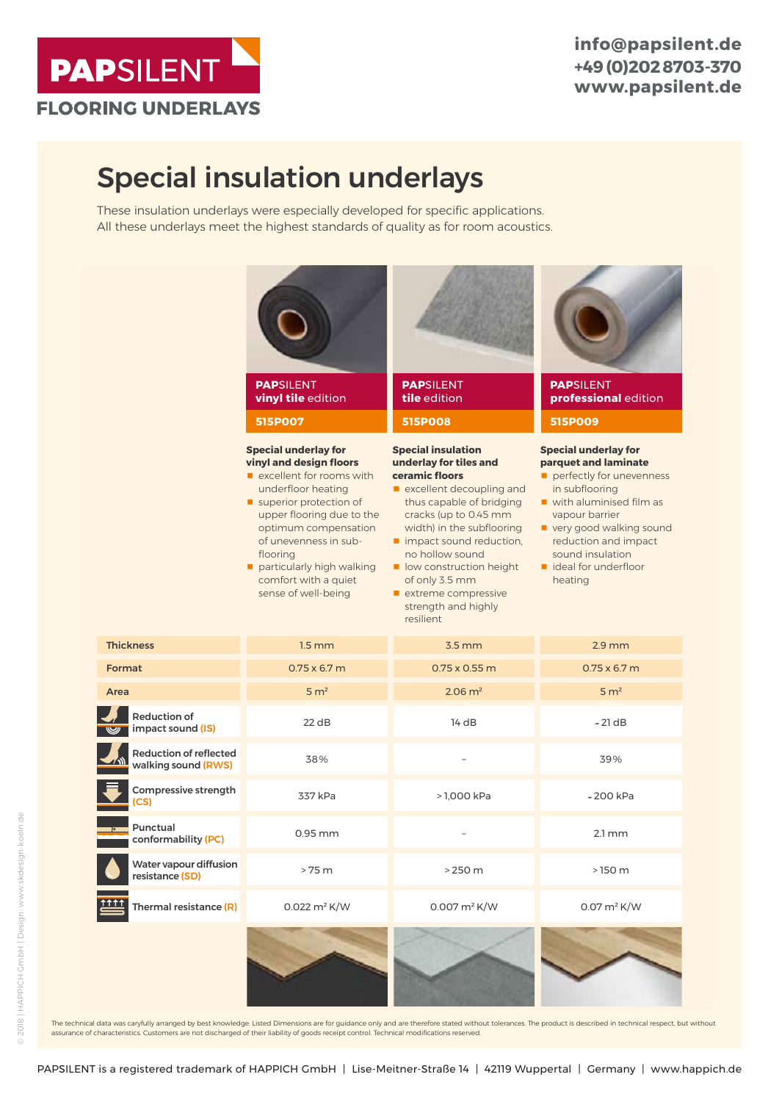

## Special insulation underlays

These insulation underlays were especially developed for specific applications. All these underlays meet the highest standards of quality as for room acoustics.

|                                                      | <b>PAPSILENT</b><br>vinyl tile edition                                                                                                                                                                                                                                                                                  | <b>PAPSILENT</b><br>tile edition                                                                                                                                                                                                                                                                                                                         | <b>PAP</b> SILENT<br>professional edition                                                                                                                                                                                                                |
|------------------------------------------------------|-------------------------------------------------------------------------------------------------------------------------------------------------------------------------------------------------------------------------------------------------------------------------------------------------------------------------|----------------------------------------------------------------------------------------------------------------------------------------------------------------------------------------------------------------------------------------------------------------------------------------------------------------------------------------------------------|----------------------------------------------------------------------------------------------------------------------------------------------------------------------------------------------------------------------------------------------------------|
|                                                      | <b>515P007</b>                                                                                                                                                                                                                                                                                                          | <b>515P008</b>                                                                                                                                                                                                                                                                                                                                           | <b>515P009</b>                                                                                                                                                                                                                                           |
|                                                      | <b>Special underlay for</b><br>vinyl and design floors<br>$\blacksquare$ excellent for rooms with<br>underfloor heating<br>superior protection of<br>upper flooring due to the<br>optimum compensation<br>of unevenness in sub-<br>flooring<br>particularly high walking<br>comfort with a quiet<br>sense of well-being | <b>Special insulation</b><br>underlay for tiles and<br>ceramic floors<br>$\blacksquare$ excellent decoupling and<br>thus capable of bridging<br>cracks (up to 0.45 mm<br>width) in the subflooring<br>impact sound reduction.<br>no hollow sound<br>low construction height<br>of only 3.5 mm<br>extreme compressive<br>strength and highly<br>resilient | <b>Special underlay for</b><br>parquet and laminate<br>perfectly for unevenness<br>in subflooring<br>vith aluminised film as<br>vapour barrier<br>very good walking sound<br>reduction and impact<br>sound insulation<br>ideal for underfloor<br>heating |
| <b>Thickness</b>                                     | $1.5$ mm                                                                                                                                                                                                                                                                                                                | $3.5 \, \text{mm}$                                                                                                                                                                                                                                                                                                                                       | $2.9$ mm                                                                                                                                                                                                                                                 |
| Format                                               | $0.75 \times 6.7$ m                                                                                                                                                                                                                                                                                                     | $0.75 \times 0.55$ m                                                                                                                                                                                                                                                                                                                                     | $0.75 \times 6.7$ m                                                                                                                                                                                                                                      |
| Area                                                 | 5 m <sup>2</sup>                                                                                                                                                                                                                                                                                                        | $2.06 \, \text{m}^2$                                                                                                                                                                                                                                                                                                                                     | 5 m <sup>2</sup>                                                                                                                                                                                                                                         |
| <b>Reduction of</b><br>impact sound (IS)             | 22 dB                                                                                                                                                                                                                                                                                                                   | 14 dB                                                                                                                                                                                                                                                                                                                                                    | ~ 21 dB                                                                                                                                                                                                                                                  |
| <b>Reduction of reflected</b><br>walking sound (RWS) | 38%                                                                                                                                                                                                                                                                                                                     |                                                                                                                                                                                                                                                                                                                                                          | 39%                                                                                                                                                                                                                                                      |
| Compressive strength<br>(CS)                         | 337 kPa                                                                                                                                                                                                                                                                                                                 | >1.000 kPa                                                                                                                                                                                                                                                                                                                                               | ~200 kPa                                                                                                                                                                                                                                                 |
| Punctual<br>conformability (PC)                      | $0.95$ mm                                                                                                                                                                                                                                                                                                               |                                                                                                                                                                                                                                                                                                                                                          | $2.1 \, \text{mm}$                                                                                                                                                                                                                                       |
| Water vapour diffusion<br>resistance (SD)            | > 75 m                                                                                                                                                                                                                                                                                                                  | $>250$ m                                                                                                                                                                                                                                                                                                                                                 | $>150$ m                                                                                                                                                                                                                                                 |
| Thermal resistance (R)                               | $0.022 \, \text{m}^2 \, \text{K/W}$                                                                                                                                                                                                                                                                                     | $0.007 \, \text{m}^2 \, \text{K/W}$                                                                                                                                                                                                                                                                                                                      | $0.07 \, \text{m}^2 \, \text{K/W}$                                                                                                                                                                                                                       |
|                                                      |                                                                                                                                                                                                                                                                                                                         |                                                                                                                                                                                                                                                                                                                                                          |                                                                                                                                                                                                                                                          |

The technical data was caryfully arranged by best knowledge. Listed Dimensions are for guidance only and are therefore stated without tolerances. The product is described in technical respect, but without<br>assurance of char

 $\mathbb{R}$ 

<u>1111 |</u>